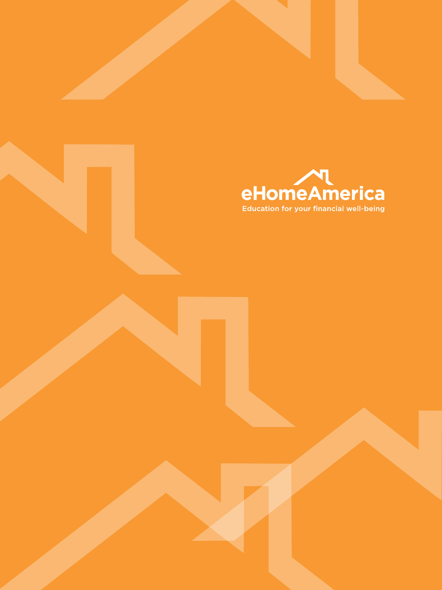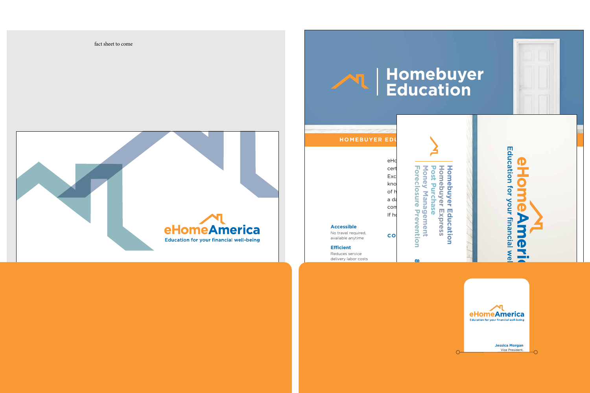

|                                          | eHc   |
|------------------------------------------|-------|
|                                          | cert  |
|                                          | Exc   |
|                                          | kno   |
|                                          | of h  |
|                                          | a da  |
|                                          | con   |
|                                          | If ho |
| <b>Accessible</b>                        |       |
| No travel required,<br>available anytime | C O   |

No travel available



## **Homebuyer Education**

Financial management of homeownership

 $\Omega$ 



**Efficient**

## Reduces service delivery labor costs



**Jessica Morgan** Vice President,

⌒

fact sheet to come